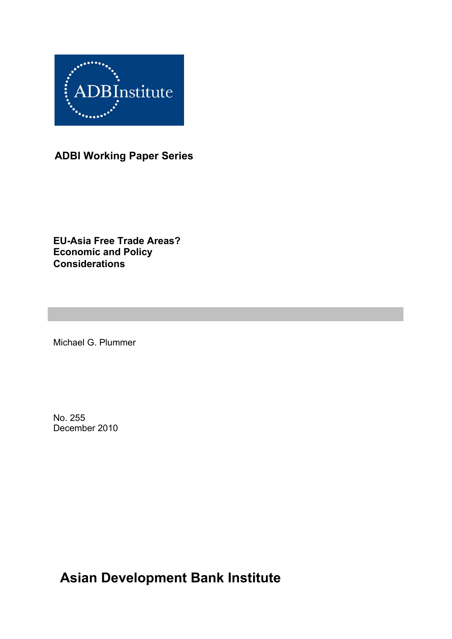

**ADBI Working Paper Series** 

**EU-Asia Free Trade Areas? Economic and Policy Considerations**

Michael G. Plummer

No. 255 December 2010

**Asian Development Bank Institute**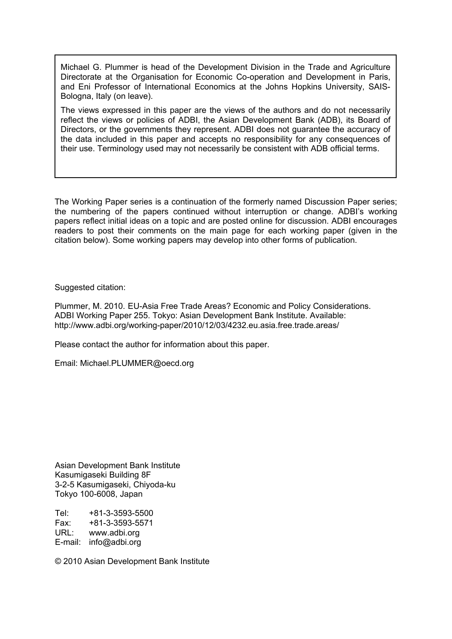Michael G. Plummer is head of the Development Division in the Trade and Agriculture Directorate at the Organisation for Economic Co-operation and Development in Paris, and Eni Professor of International Economics at the Johns Hopkins University, SAIS-Bologna, Italy (on leave).

The views expressed in this paper are the views of the authors and do not necessarily reflect the views or policies of ADBI, the Asian Development Bank (ADB), its Board of Directors, or the governments they represent. ADBI does not guarantee the accuracy of the data included in this paper and accepts no responsibility for any consequences of their use. Terminology used may not necessarily be consistent with ADB official terms.

The Working Paper series is a continuation of the formerly named Discussion Paper series; the numbering of the papers continued without interruption or change. ADBI's working papers reflect initial ideas on a topic and are posted online for discussion. ADBI encourages readers to post their comments on the main page for each working paper (given in the citation below). Some working papers may develop into other forms of publication.

Suggested citation:

Plummer, M. 2010. EU-Asia Free Trade Areas? Economic and Policy Considerations. ADBI Working Paper 255. Tokyo: Asian Development Bank Institute. Available: http://www.adbi.org/working-paper/2010/12/03/4232.eu.asia.free.trade.areas/

Please contact the author for information about this paper.

Email: [Michael.PLUMMER@oecd.org](mailto:Michael.PLUMMER@oecd.org) 

Asian Development Bank Institute Kasumigaseki Building 8F 3-2-5 Kasumigaseki, Chiyoda-ku Tokyo 100-6008, Japan

Tel: +81-3-3593-5500 Fax: +81-3-3593-5571 URL: www.adbi.org E-mail: info@adbi.org

© 2010 Asian Development Bank Institute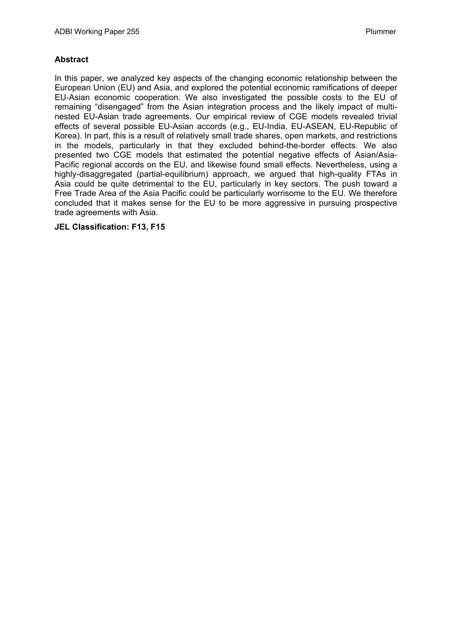#### **Abstract**

In this paper, we analyzed key aspects of the changing economic relationship between the European Union (EU) and Asia, and explored the potential economic ramifications of deeper EU-Asian economic cooperation. We also investigated the possible costs to the EU of remaining "disengaged" from the Asian integration process and the likely impact of multinested EU-Asian trade agreements. Our empirical review of CGE models revealed trivial effects of several possible EU-Asian accords (e.g., EU-India, EU-ASEAN, EU-Republic of Korea). In part, this is a result of relatively small trade shares, open markets, and restrictions in the models, particularly in that they excluded behind-the-border effects. We also presented two CGE models that estimated the potential negative effects of Asian/Asia-Pacific regional accords on the EU, and likewise found small effects. Nevertheless, using a highly-disaggregated (partial-equilibrium) approach, we argued that high-quality FTAs in Asia could be quite detrimental to the EU, particularly in key sectors. The push toward a Free Trade Area of the Asia Pacific could be particularly worrisome to the EU. We therefore concluded that it makes sense for the EU to be more aggressive in pursuing prospective trade agreements with Asia.

#### **JEL Classification: F13, F15**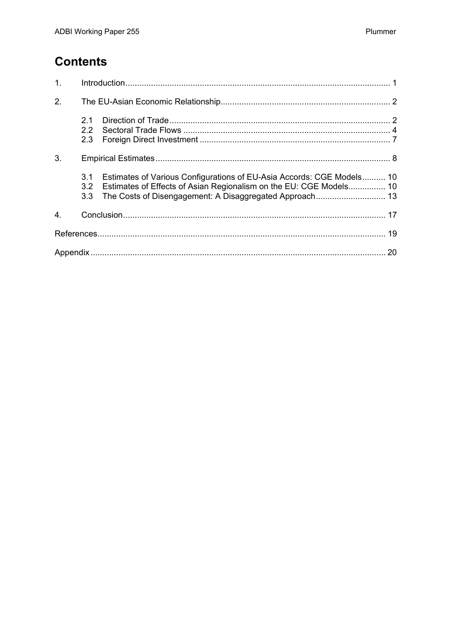## **Contents**

| 1 <sub>1</sub> |            |                                                                                                                                                 |  |
|----------------|------------|-------------------------------------------------------------------------------------------------------------------------------------------------|--|
| 2.             |            |                                                                                                                                                 |  |
|                | 2.1<br>2.3 |                                                                                                                                                 |  |
| 3.             |            |                                                                                                                                                 |  |
|                | 3.1<br>3.3 | Estimates of Various Configurations of EU-Asia Accords: CGE Models 10<br>3.2 Estimates of Effects of Asian Regionalism on the EU: CGE Models 10 |  |
| 4.             |            |                                                                                                                                                 |  |
|                |            |                                                                                                                                                 |  |
|                |            |                                                                                                                                                 |  |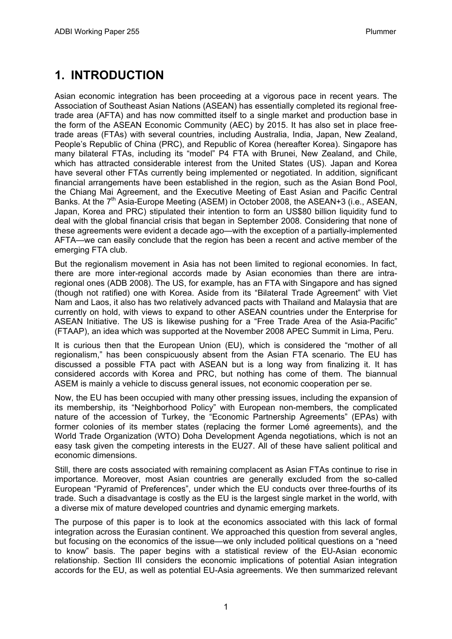# <span id="page-4-0"></span>**1. INTRODUCTION**

Asian economic integration has been proceeding at a vigorous pace in recent years. The Association of Southeast Asian Nations (ASEAN) has essentially completed its regional freetrade area (AFTA) and has now committed itself to a single market and production base in the form of the ASEAN Economic Community (AEC) by 2015. It has also set in place freetrade areas (FTAs) with several countries, including Australia, India, Japan, New Zealand, People's Republic of China (PRC), and Republic of Korea (hereafter Korea). Singapore has many bilateral FTAs, including its "model" P4 FTA with Brunei, New Zealand, and Chile, which has attracted considerable interest from the United States (US). Japan and Korea have several other FTAs currently being implemented or negotiated. In addition, significant financial arrangements have been established in the region, such as the Asian Bond Pool, the Chiang Mai Agreement, and the Executive Meeting of East Asian and Pacific Central Banks. At the  $7<sup>th</sup>$  Asia-Europe Meeting (ASEM) in October 2008, the ASEAN+3 (i.e., ASEAN, Japan, Korea and PRC) stipulated their intention to form an US\$80 billion liquidity fund to deal with the global financial crisis that began in September 2008. Considering that none of these agreements were evident a decade ago—with the exception of a partially-implemented AFTA—we can easily conclude that the region has been a recent and active member of the emerging FTA club.

But the regionalism movement in Asia has not been limited to regional economies. In fact, there are more inter-regional accords made by Asian economies than there are intraregional ones (ADB 2008). The US, for example, has an FTA with Singapore and has signed (though not ratified) one with Korea. Aside from its "Bilateral Trade Agreement" with Viet Nam and Laos, it also has two relatively advanced pacts with Thailand and Malaysia that are currently on hold, with views to expand to other ASEAN countries under the Enterprise for ASEAN Initiative. The US is likewise pushing for a "Free Trade Area of the Asia-Pacific" (FTAAP), an idea which was supported at the November 2008 APEC Summit in Lima, Peru.

It is curious then that the European Union (EU), which is considered the "mother of all regionalism," has been conspicuously absent from the Asian FTA scenario. The EU has discussed a possible FTA pact with ASEAN but is a long way from finalizing it. It has considered accords with Korea and PRC, but nothing has come of them. The biannual ASEM is mainly a vehicle to discuss general issues, not economic cooperation per se.

Now, the EU has been occupied with many other pressing issues, including the expansion of its membership, its "Neighborhood Policy" with European non-members, the complicated nature of the accession of Turkey, the "Economic Partnership Agreements" (EPAs) with former colonies of its member states (replacing the former Lomé agreements), and the World Trade Organization (WTO) Doha Development Agenda negotiations, which is not an easy task given the competing interests in the EU27. All of these have salient political and economic dimensions.

Still, there are costs associated with remaining complacent as Asian FTAs continue to rise in importance. Moreover, most Asian countries are generally excluded from the so-called European "Pyramid of Preferences", under which the EU conducts over three-fourths of its trade. Such a disadvantage is costly as the EU is the largest single market in the world, with a diverse mix of mature developed countries and dynamic emerging markets.

The purpose of this paper is to look at the economics associated with this lack of formal integration across the Eurasian continent. We approached this question from several angles, but focusing on the economics of the issue—we only included political questions on a "need to know" basis. The paper begins with a statistical review of the EU-Asian economic relationship. Section III considers the economic implications of potential Asian integration accords for the EU, as well as potential EU-Asia agreements. We then summarized relevant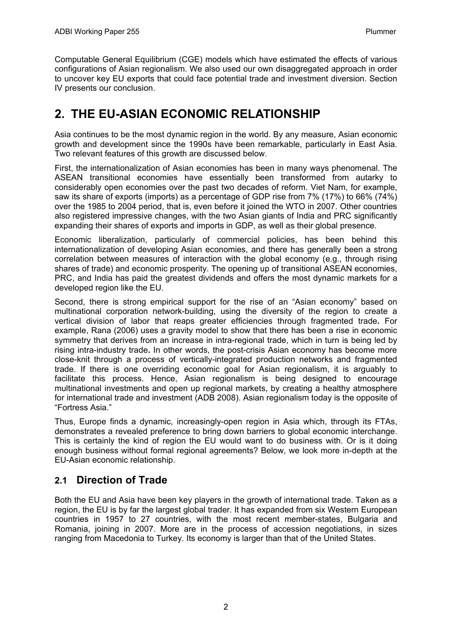<span id="page-5-0"></span>Computable General Equilibrium (CGE) models which have estimated the effects of various configurations of Asian regionalism. We also used our own disaggregated approach in order to uncover key EU exports that could face potential trade and investment diversion. Section IV presents our conclusion.

## **2. THE EU-ASIAN ECONOMIC RELATIONSHIP**

Asia continues to be the most dynamic region in the world. By any measure, Asian economic growth and development since the 1990s have been remarkable, particularly in East Asia. Two relevant features of this growth are discussed below.

First, the internationalization of Asian economies has been in many ways phenomenal. The ASEAN transitional economies have essentially been transformed from autarky to considerably open economies over the past two decades of reform. Viet Nam, for example, saw its share of exports (imports) as a percentage of GDP rise from 7% (17%) to 66% (74%) over the 1985 to 2004 period, that is, even before it joined the WTO in 2007. Other countries also registered impressive changes, with the two Asian giants of India and PRC significantly expanding their shares of exports and imports in GDP, as well as their global presence.

Economic liberalization, particularly of commercial policies, has been behind this internationalization of developing Asian economies, and there has generally been a strong correlation between measures of interaction with the global economy (e.g., through rising shares of trade) and economic prosperity. The opening up of transitional ASEAN economies, PRC, and India has paid the greatest dividends and offers the most dynamic markets for a developed region like the EU.

Second, there is strong empirical support for the rise of an "Asian economy" based on multinational corporation network-building, using the diversity of the region to create a vertical division of labor that reaps greater efficiencies through fragmented trade**.** For example, Rana (2006) uses a gravity model to show that there has been a rise in economic symmetry that derives from an increase in intra-regional trade, which in turn is being led by rising intra-industry trade**.** In other words, the post-crisis Asian economy has become more close-knit through a process of vertically-integrated production networks and fragmented trade. If there is one overriding economic goal for Asian regionalism, it is arguably to facilitate this process. Hence, Asian regionalism is being designed to encourage multinational investments and open up regional markets, by creating a healthy atmosphere for international trade and investment (ADB 2008). Asian regionalism today is the opposite of "Fortress Asia."

Thus, Europe finds a dynamic, increasingly-open region in Asia which, through its FTAs, demonstrates a revealed preference to bring down barriers to global economic interchange. This is certainly the kind of region the EU would want to do business with. Or is it doing enough business without formal regional agreements? Below, we look more in-depth at the EU-Asian economic relationship.

## **2.1 Direction of Trade**

Both the EU and Asia have been key players in the growth of international trade. Taken as a region, the EU is by far the largest global trader. It has expanded from six Western European countries in 1957 to 27 countries, with the most recent member-states, Bulgaria and Romania, joining in 2007. More are in the process of accession negotiations, in sizes ranging from Macedonia to Turkey. Its economy is larger than that of the United States.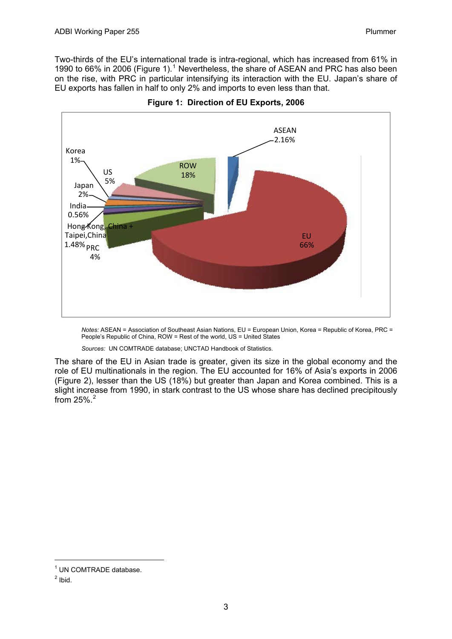Two-thirds of the EU's international trade is intra-regional, which has increased from 61% in [1](#page-6-0)990 to 66% in 2006 (Figure 1).<sup>1</sup> Nevertheless, the share of ASEAN and PRC has also been on the rise, with PRC in particular intensifying its interaction with the EU. Japan's share of EU exports has fallen in half to only 2% and imports to even less than that.



**Figure 1: Direction of EU Exports, 2006** 

*Notes:* ASEAN = Association of Southeast Asian Nations, EU = European Union, Korea = Republic of Korea, PRC = People's Republic of China, ROW = Rest of the world, US = United States

*Sources:* UN COMTRADE database; UNCTAD Handbook of Statistics.

The share of the EU in Asian trade is greater, given its size in the global economy and the role of EU multinationals in the region. The EU accounted for 16% of Asia's exports in 2006 (Figure 2), lesser than the US (18%) but greater than Japan and Korea combined. This is a slight increase from 1990, in stark contrast to the US whose share has declined precipitously from  $25\%$  $25\%$ . $^{2}$ 

-

<span id="page-6-0"></span><sup>&</sup>lt;sup>1</sup> UN COMTRADE database.

<span id="page-6-1"></span> $<sup>2</sup>$  Ibid.</sup>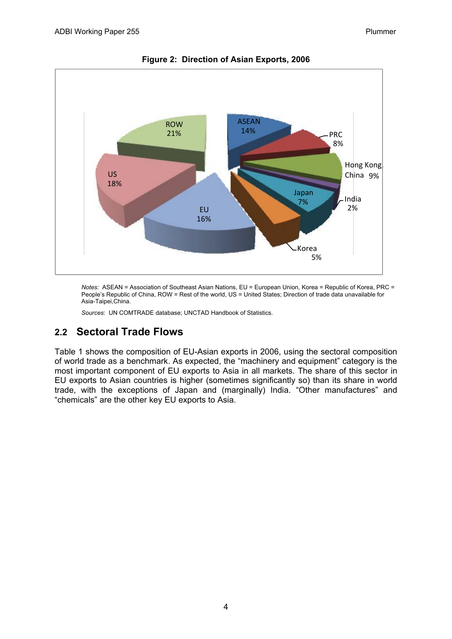<span id="page-7-0"></span>

**Figure 2: Direction of Asian Exports, 2006** 

*Notes:* ASEAN = Association of Southeast Asian Nations, EU = European Union, Korea = Republic of Korea, PRC = People's Republic of China, ROW = Rest of the world, US = United States; Direction of trade data unavailable for Asia-Taipei,China.

*Sources*: UN COMTRADE database; UNCTAD Handbook of Statistics.

### **2.2 Sectoral Trade Flows**

Table 1 shows the composition of EU-Asian exports in 2006, using the sectoral composition of world trade as a benchmark. As expected, the "machinery and equipment" category is the most important component of EU exports to Asia in all markets. The share of this sector in EU exports to Asian countries is higher (sometimes significantly so) than its share in world trade, with the exceptions of Japan and (marginally) India. "Other manufactures" and "chemicals" are the other key EU exports to Asia.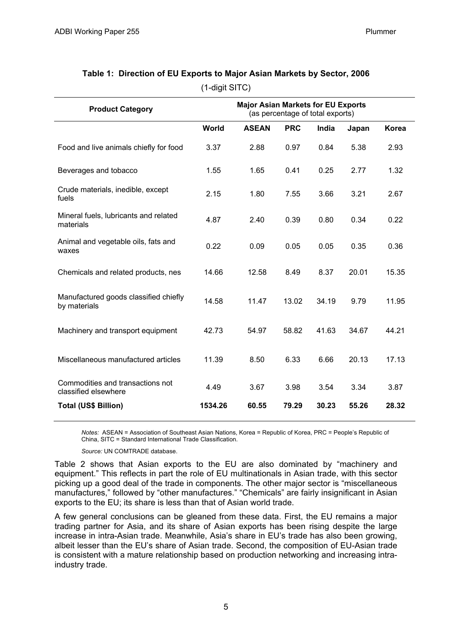| <b>Product Category</b>                                  |         | <b>Major Asian Markets for EU Exports</b><br>(as percentage of total exports) |            |       |       |              |
|----------------------------------------------------------|---------|-------------------------------------------------------------------------------|------------|-------|-------|--------------|
|                                                          | World   | <b>ASEAN</b>                                                                  | <b>PRC</b> | India | Japan | <b>Korea</b> |
| Food and live animals chiefly for food                   | 3.37    | 2.88                                                                          | 0.97       | 0.84  | 5.38  | 2.93         |
| Beverages and tobacco                                    | 1.55    | 1.65                                                                          | 0.41       | 0.25  | 2.77  | 1.32         |
| Crude materials, inedible, except<br>fuels               | 2.15    | 1.80                                                                          | 7.55       | 3.66  | 3.21  | 2.67         |
| Mineral fuels, lubricants and related<br>materials       | 4.87    | 2.40                                                                          | 0.39       | 0.80  | 0.34  | 0.22         |
| Animal and vegetable oils, fats and<br>waxes             | 0.22    | 0.09                                                                          | 0.05       | 0.05  | 0.35  | 0.36         |
| Chemicals and related products, nes                      | 14.66   | 12.58                                                                         | 8.49       | 8.37  | 20.01 | 15.35        |
| Manufactured goods classified chiefly<br>by materials    | 14.58   | 11.47                                                                         | 13.02      | 34.19 | 9.79  | 11.95        |
| Machinery and transport equipment                        | 42.73   | 54.97                                                                         | 58.82      | 41.63 | 34.67 | 44.21        |
| Miscellaneous manufactured articles                      | 11.39   | 8.50                                                                          | 6.33       | 6.66  | 20.13 | 17.13        |
| Commodities and transactions not<br>classified elsewhere | 4.49    | 3.67                                                                          | 3.98       | 3.54  | 3.34  | 3.87         |
| <b>Total (US\$ Billion)</b>                              | 1534.26 | 60.55                                                                         | 79.29      | 30.23 | 55.26 | 28.32        |

### **Table 1: Direction of EU Exports to Major Asian Markets by Sector, 2006**  (1-digit SITC)

*Notes:* ASEAN = Association of Southeast Asian Nations, Korea = Republic of Korea, PRC = People's Republic of China, SITC = Standard International Trade Classification.

*Source:* UN COMTRADE database.

Table 2 shows that Asian exports to the EU are also dominated by "machinery and equipment." This reflects in part the role of EU multinationals in Asian trade, with this sector picking up a good deal of the trade in components. The other major sector is "miscellaneous manufactures," followed by "other manufactures." "Chemicals" are fairly insignificant in Asian exports to the EU; its share is less than that of Asian world trade.

A few general conclusions can be gleaned from these data. First, the EU remains a major trading partner for Asia, and its share of Asian exports has been rising despite the large increase in intra-Asian trade. Meanwhile, Asia's share in EU's trade has also been growing, albeit lesser than the EU's share of Asian trade. Second, the composition of EU-Asian trade is consistent with a mature relationship based on production networking and increasing intraindustry trade.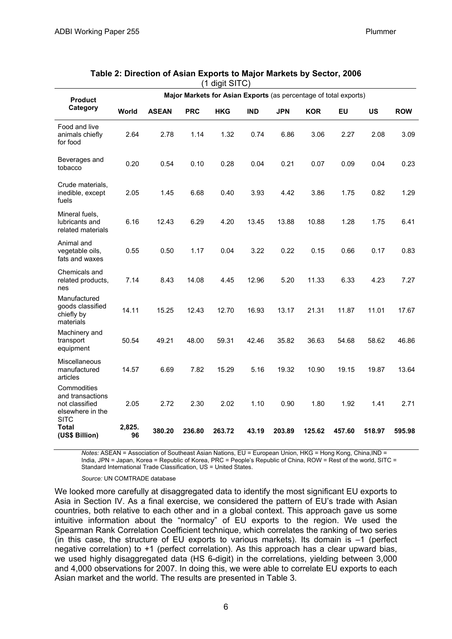| <b>Product</b>                                                                       | Major Markets for Asian Exports (as percentage of total exports) |              |            |            |            |            |            |           |           |            |
|--------------------------------------------------------------------------------------|------------------------------------------------------------------|--------------|------------|------------|------------|------------|------------|-----------|-----------|------------|
| Category                                                                             | World                                                            | <b>ASEAN</b> | <b>PRC</b> | <b>HKG</b> | <b>IND</b> | <b>JPN</b> | <b>KOR</b> | <b>EU</b> | <b>US</b> | <b>ROW</b> |
| Food and live<br>animals chiefly<br>for food                                         | 2.64                                                             | 2.78         | 1.14       | 1.32       | 0.74       | 6.86       | 3.06       | 2.27      | 2.08      | 3.09       |
| Beverages and<br>tobacco                                                             | 0.20                                                             | 0.54         | 0.10       | 0.28       | 0.04       | 0.21       | 0.07       | 0.09      | 0.04      | 0.23       |
| Crude materials,<br>inedible, except<br>fuels                                        | 2.05                                                             | 1.45         | 6.68       | 0.40       | 3.93       | 4.42       | 3.86       | 1.75      | 0.82      | 1.29       |
| Mineral fuels,<br>lubricants and<br>related materials                                | 6.16                                                             | 12.43        | 6.29       | 4.20       | 13.45      | 13.88      | 10.88      | 1.28      | 1.75      | 6.41       |
| Animal and<br>vegetable oils,<br>fats and waxes                                      | 0.55                                                             | 0.50         | 1.17       | 0.04       | 3.22       | 0.22       | 0.15       | 0.66      | 0.17      | 0.83       |
| Chemicals and<br>related products,<br>nes                                            | 7.14                                                             | 8.43         | 14.08      | 4.45       | 12.96      | 5.20       | 11.33      | 6.33      | 4.23      | 7.27       |
| Manufactured<br>goods classified<br>chiefly by<br>materials                          | 14.11                                                            | 15.25        | 12.43      | 12.70      | 16.93      | 13.17      | 21.31      | 11.87     | 11.01     | 17.67      |
| Machinery and<br>transport<br>equipment                                              | 50.54                                                            | 49.21        | 48.00      | 59.31      | 42.46      | 35.82      | 36.63      | 54.68     | 58.62     | 46.86      |
| Miscellaneous<br>manufactured<br>articles                                            | 14.57                                                            | 6.69         | 7.82       | 15.29      | 5.16       | 19.32      | 10.90      | 19.15     | 19.87     | 13.64      |
| Commodities<br>and transactions<br>not classified<br>elsewhere in the<br><b>SITC</b> | 2.05                                                             | 2.72         | 2.30       | 2.02       | 1.10       | 0.90       | 1.80       | 1.92      | 1.41      | 2.71       |
| <b>Total</b><br>(US\$ Billion)                                                       | 2,825.<br>96                                                     | 380.20       | 236.80     | 263.72     | 43.19      | 203.89     | 125.62     | 457.60    | 518.97    | 595.98     |

| Table 2: Direction of Asian Exports to Major Markets by Sector, 2006 |                  |  |
|----------------------------------------------------------------------|------------------|--|
|                                                                      | $(1$ digit SITC) |  |

*Notes:* ASEAN = Association of Southeast Asian Nations, EU = European Union, HKG = Hong Kong, China,IND = India, JPN = Japan, Korea = Republic of Korea, PRC = People's Republic of China, ROW = Rest of the world, SITC = Standard International Trade Classification, US = United States.

#### *Source:* UN COMTRADE database

We looked more carefully at disaggregated data to identify the most significant EU exports to Asia in Section IV. As a final exercise, we considered the pattern of EU's trade with Asian countries, both relative to each other and in a global context. This approach gave us some intuitive information about the "normalcy" of EU exports to the region. We used the Spearman Rank Correlation Coefficient technique, which correlates the ranking of two series (in this case, the structure of EU exports to various markets). Its domain is  $-1$  (perfect negative correlation) to +1 (perfect correlation). As this approach has a clear upward bias, we used highly disaggregated data (HS 6-digit) in the correlations, yielding between 3,000 and 4,000 observations for 2007. In doing this, we were able to correlate EU exports to each Asian market and the world. The results are presented in Table 3.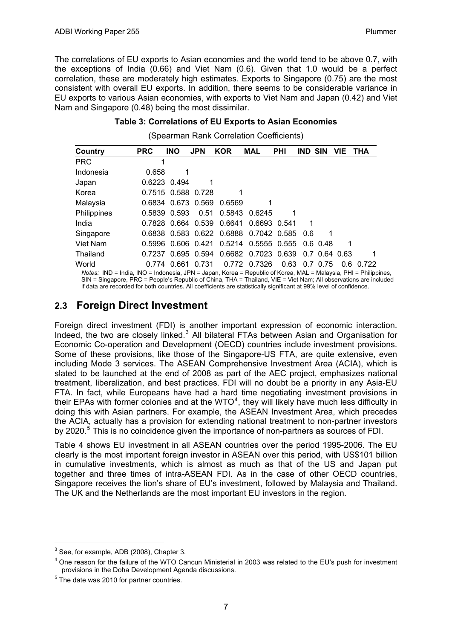<span id="page-10-0"></span>The correlations of EU exports to Asian economies and the world tend to be above 0.7, with the exceptions of India (0.66) and Viet Nam (0.6). Given that 1.0 would be a perfect correlation, these are moderately high estimates. Exports to Singapore (0.75) are the most consistent with overall EU exports. In addition, there seems to be considerable variance in EU exports to various Asian economies, with exports to Viet Nam and Japan (0.42) and Viet Nam and Singapore (0.48) being the most dissimilar.

#### **Table 3: Correlations of EU Exports to Asian Economies**

|  |  |  | (Spearman Rank Correlation Coefficients) |
|--|--|--|------------------------------------------|
|--|--|--|------------------------------------------|

| Country     | <b>PRC</b> | <b>INO</b>  | <b>JPN</b>  | <b>KOR</b> | <b>MAL</b>          | <b>PHI</b> | <b>IND SIN</b> |                 | <b>VIE</b> | <b>THA</b> |
|-------------|------------|-------------|-------------|------------|---------------------|------------|----------------|-----------------|------------|------------|
| <b>PRC</b>  |            |             |             |            |                     |            |                |                 |            |            |
| Indonesia   | 0.658      |             |             |            |                     |            |                |                 |            |            |
| Japan       | 0.6223     | 0.494       |             |            |                     |            |                |                 |            |            |
| Korea       | 0.7515     | 0.588 0.728 |             | 1          |                     |            |                |                 |            |            |
| Malaysia    | 0.6834     | 0.673 0.569 |             | 0.6569     |                     |            |                |                 |            |            |
| Philippines | 0.5839     | 0.593       | 0.51        | 0.5843     | 0.6245              | 1          |                |                 |            |            |
| India       | 0.7828     | 0.664       | 0.539       | 0.6641     | 0.6693 0.541        |            | 1              |                 |            |            |
| Singapore   | 0.6838     |             | 0.583 0.622 | 0.6888     | 0.7042 0.585        |            | -0.6           | 1               |            |            |
| Viet Nam    | 0.5996     | 0.606 0.421 |             | 0.5214     | 0.5555 0.555        |            |                | $0.6$ 0.48      |            |            |
| Thailand    | 0.7237     |             | 0.695 0.594 |            | 0.6682 0.7023 0.639 |            |                | $0.7$ 0.64 0.63 |            |            |
| World       | 0.774      | 0.661       | 0.731       | 0.772      | 0.7326              | 0.63       | 0.7            | .75<br>$\Omega$ | 0.6        | 0.722      |

*Notes:* IND = India, INO = Indonesia, JPN = Japan, Korea = Republic of Korea, MAL = Malaysia, PHI = Philippines, SIN = Singapore, PRC = People's Republic of China, THA = Thailand, VIE = Viet Nam; All observations are included if data are recorded for both countries. All coefficients are statistically significant at 99% level of confidence.

### **2.3 Foreign Direct Investment**

Foreign direct investment (FDI) is another important expression of economic interaction. Indeed, the two are closely linked.<sup>[3](#page-10-1)</sup> All bilateral FTAs between Asian and Organisation for Economic Co-operation and Development (OECD) countries include investment provisions. Some of these provisions, like those of the Singapore-US FTA, are quite extensive, even including Mode 3 services. The ASEAN Comprehensive Investment Area (ACIA), which is slated to be launched at the end of 2008 as part of the AEC project, emphasizes national treatment, liberalization, and best practices. FDI will no doubt be a priority in any Asia-EU FTA. In fact, while Europeans have had a hard time negotiating investment provisions in their EPAs with former colonies and at the WTO $<sup>4</sup>$  $<sup>4</sup>$  $<sup>4</sup>$ , they will likely have much less difficulty in</sup> doing this with Asian partners. For example, the ASEAN Investment Area, which precedes the ACIA, actually has a provision for extending national treatment to non-partner investors by 2020.<sup>[5](#page-10-3)</sup> This is no coincidence given the importance of non-partners as sources of FDI.

Table 4 shows EU investment in all ASEAN countries over the period 1995-2006. The EU clearly is the most important foreign investor in ASEAN over this period, with US\$101 billion in cumulative investments, which is almost as much as that of the US and Japan put together and three times of intra-ASEAN FDI. As in the case of other OECD countries, Singapore receives the lion's share of EU's investment, followed by Malaysia and Thailand. The UK and the Netherlands are the most important EU investors in the region.

1

<span id="page-10-1"></span> $3$  See, for example, ADB (2008), Chapter 3.

<span id="page-10-2"></span><sup>&</sup>lt;sup>4</sup> One reason for the failure of the WTO Cancun Ministerial in 2003 was related to the EU's push for investment provisions in the Doha Development Agenda discussions. 5

<span id="page-10-3"></span> $5$  The date was 2010 for partner countries.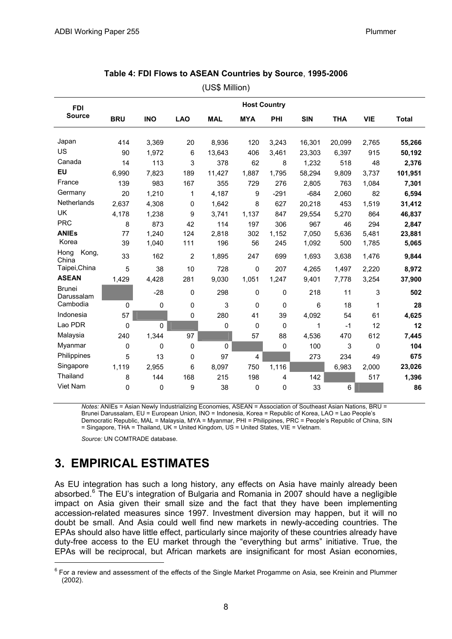<span id="page-11-0"></span>

|                             | (US\$ Million)      |            |                |            |             |             |            |            |            |              |  |  |
|-----------------------------|---------------------|------------|----------------|------------|-------------|-------------|------------|------------|------------|--------------|--|--|
| <b>FDI</b>                  | <b>Host Country</b> |            |                |            |             |             |            |            |            |              |  |  |
| <b>Source</b>               | <b>BRU</b>          | <b>INO</b> | <b>LAO</b>     | <b>MAL</b> | <b>MYA</b>  | PHI         | <b>SIN</b> | <b>THA</b> | <b>VIE</b> | <b>Total</b> |  |  |
| Japan                       | 414                 | 3,369      | 20             | 8,936      | 120         | 3,243       | 16,301     | 20,099     | 2,765      | 55,266       |  |  |
| US                          | 90                  | 1.972      | 6              | 13,643     | 406         | 3,461       | 23,303     | 6,397      | 915        | 50,192       |  |  |
| Canada                      | 14                  | 113        | 3              | 378        | 62          | 8           | 1,232      | 518        | 48         | 2,376        |  |  |
| EU                          | 6,990               | 7,823      | 189            | 11,427     | 1,887       | 1,795       | 58,294     | 9,809      | 3,737      | 101,951      |  |  |
| France                      | 139                 | 983        | 167            | 355        | 729         | 276         | 2,805      | 763        | 1,084      | 7,301        |  |  |
| Germany                     | 20                  | 1,210      | 1              | 4,187      | 9           | $-291$      | $-684$     | 2,060      | 82         | 6,594        |  |  |
| Netherlands                 | 2,637               | 4,308      | 0              | 1,642      | 8           | 627         | 20,218     | 453        | 1,519      | 31,412       |  |  |
| <b>UK</b>                   | 4,178               | 1,238      | 9              | 3,741      | 1,137       | 847         | 29,554     | 5,270      | 864        | 46,837       |  |  |
| <b>PRC</b>                  | 8                   | 873        | 42             | 114        | 197         | 306         | 967        | 46         | 294        | 2,847        |  |  |
| <b>ANIEs</b>                | 77                  | 1,240      | 124            | 2,818      | 302         | 1,152       | 7,050      | 5,636      | 5,481      | 23,881       |  |  |
| Korea                       | 39                  | 1,040      | 111            | 196        | 56          | 245         | 1,092      | 500        | 1,785      | 5,065        |  |  |
| Kong,<br>Hong<br>China      | 33                  | 162        | $\overline{2}$ | 1,895      | 247         | 699         | 1,693      | 3,638      | 1,476      | 9,844        |  |  |
| Taipei, China               | 5                   | 38         | 10             | 728        | $\mathbf 0$ | 207         | 4,265      | 1,497      | 2,220      | 8,972        |  |  |
| <b>ASEAN</b>                | 1,429               | 4,428      | 281            | 9,030      | 1,051       | 1,247       | 9,401      | 7,778      | 3,254      | 37,900       |  |  |
| <b>Brunei</b><br>Darussalam |                     | $-28$      | $\mathbf 0$    | 298        | $\mathbf 0$ | $\mathbf 0$ | 218        | 11         | 3          | 502          |  |  |
| Cambodia                    | 0                   | 0          | $\pmb{0}$      | 3          | $\mathbf 0$ | 0           | 6          | 18         | 1          | 28           |  |  |
| Indonesia                   | 57                  |            | 0              | 280        | 41          | 39          | 4,092      | 54         | 61         | 4,625        |  |  |
| Lao PDR                     | 0                   | $\Omega$   |                | 0          | $\mathbf 0$ | 0           | 1          | $-1$       | 12         | 12           |  |  |
| Malaysia                    | 240                 | 1,344      | 97             |            | 57          | 88          | 4,536      | 470        | 612        | 7,445        |  |  |
| Myanmar                     | 0                   | 0          | 0              | 0          |             | 0           | 100        | 3          | 0          | 104          |  |  |
| Philippines                 | 5                   | 13         | 0              | 97         | 4           |             | 273        | 234        | 49         | 675          |  |  |
| Singapore                   | 1,119               | 2,955      | 6              | 8,097      | 750         | 1,116       |            | 6,983      | 2,000      | 23,026       |  |  |
| Thailand                    | 8                   | 144        | 168            | 215        | 198         | 4           | 142        |            | 517        | 1,396        |  |  |
| Viet Nam                    | 0                   | 0          | 9              | 38         | $\mathbf 0$ | 0           | 33         | 6          |            | 86           |  |  |

#### **Table 4: FDI Flows to ASEAN Countries by Source**, **1995-2006**

*Notes:* ANIEs = Asian Newly Industrializing Economies, ASEAN = Association of Southeast Asian Nations, BRU = Brunei Darussalam, EU = European Union, INO = Indonesia, Korea = Republic of Korea, LAO = Lao People's Democratic Republic, MAL = Malaysia, MYA = Myanmar, PHI = Philippines, PRC = People's Republic of China, SIN = Singapore, THA = Thailand, UK = United Kingdom, US = United States, VIE = Vietnam.

*Source:* UN COMTRADE database.

## **3. EMPIRICAL ESTIMATES**

-

As EU integration has such a long history, any effects on Asia have mainly already been absorbed.<sup>[6](#page-11-1)</sup> The EU's integration of Bulgaria and Romania in 2007 should have a negligible impact on Asia given their small size and the fact that they have been implementing accession-related measures since 1997. Investment diversion may happen, but it will no doubt be small. And Asia could well find new markets in newly-acceding countries. The EPAs should also have little effect, particularly since majority of these countries already have duty-free access to the EU market through the "everything but arms" initiative. True, the EPAs will be reciprocal, but African markets are insignificant for most Asian economies,

<span id="page-11-1"></span> $6$  For a review and assessment of the effects of the Single Market Progamme on Asia, see Kreinin and Plummer (2002).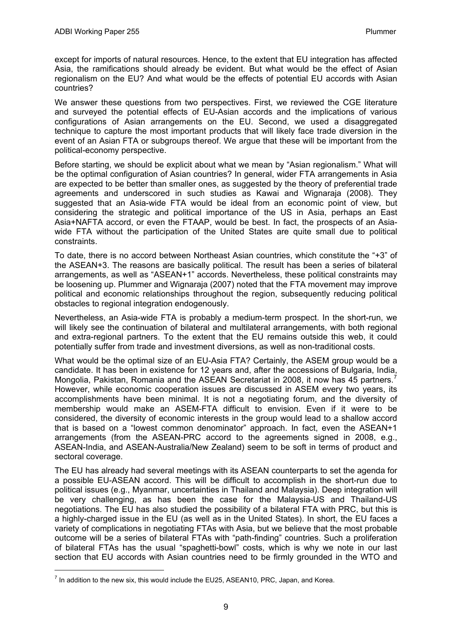except for imports of natural resources. Hence, to the extent that EU integration has affected Asia, the ramifications should already be evident. But what would be the effect of Asian regionalism on the EU? And what would be the effects of potential EU accords with Asian countries?

We answer these questions from two perspectives. First, we reviewed the CGE literature and surveyed the potential effects of EU-Asian accords and the implications of various configurations of Asian arrangements on the EU. Second, we used a disaggregated technique to capture the most important products that will likely face trade diversion in the event of an Asian FTA or subgroups thereof. We argue that these will be important from the political-economy perspective.

Before starting, we should be explicit about what we mean by "Asian regionalism." What will be the optimal configuration of Asian countries? In general, wider FTA arrangements in Asia are expected to be better than smaller ones, as suggested by the theory of preferential trade agreements and underscored in such studies as Kawai and Wignaraja (2008). They suggested that an Asia-wide FTA would be ideal from an economic point of view, but considering the strategic and political importance of the US in Asia, perhaps an East Asia+NAFTA accord, or even the FTAAP, would be best. In fact, the prospects of an Asiawide FTA without the participation of the United States are quite small due to political constraints.

To date, there is no accord between Northeast Asian countries, which constitute the "+3" of the ASEAN+3. The reasons are basically political. The result has been a series of bilateral arrangements, as well as "ASEAN+1" accords. Nevertheless, these political constraints may be loosening up. Plummer and Wignaraja (2007) noted that the FTA movement may improve political and economic relationships throughout the region, subsequently reducing political obstacles to regional integration endogenously.

Nevertheless, an Asia-wide FTA is probably a medium-term prospect. In the short-run, we will likely see the continuation of bilateral and multilateral arrangements, with both regional and extra-regional partners. To the extent that the EU remains outside this web, it could potentially suffer from trade and investment diversions, as well as non-traditional costs.

What would be the optimal size of an EU-Asia FTA? Certainly, the ASEM group would be a candidate. It has been in existence for 12 years and, after the accessions of Bulgaria, India, Mongolia, Pakistan, Romania and the ASEAN Secretariat in 2008, it now has 45 partners.<sup>[7](#page-12-0)</sup> However, while economic cooperation issues are discussed in ASEM every two years, its accomplishments have been minimal. It is not a negotiating forum, and the diversity of membership would make an ASEM-FTA difficult to envision. Even if it were to be considered, the diversity of economic interests in the group would lead to a shallow accord that is based on a "lowest common denominator" approach. In fact, even the ASEAN+1 arrangements (from the ASEAN-PRC accord to the agreements signed in 2008, e.g., ASEAN-India, and ASEAN-Australia/New Zealand) seem to be soft in terms of product and sectoral coverage.

The EU has already had several meetings with its ASEAN counterparts to set the agenda for a possible EU-ASEAN accord. This will be difficult to accomplish in the short-run due to political issues (e.g., Myanmar, uncertainties in Thailand and Malaysia). Deep integration will be very challenging, as has been the case for the Malaysia-US and Thailand-US negotiations. The EU has also studied the possibility of a bilateral FTA with PRC, but this is a highly-charged issue in the EU (as well as in the United States). In short, the EU faces a variety of complications in negotiating FTAs with Asia, but we believe that the most probable outcome will be a series of bilateral FTAs with "path-finding" countries. Such a proliferation of bilateral FTAs has the usual "spaghetti-bowl" costs, which is why we note in our last section that EU accords with Asian countries need to be firmly grounded in the WTO and

1

<span id="page-12-0"></span> $<sup>7</sup>$  In addition to the new six, this would include the EU25, ASEAN10, PRC, Japan, and Korea.</sup>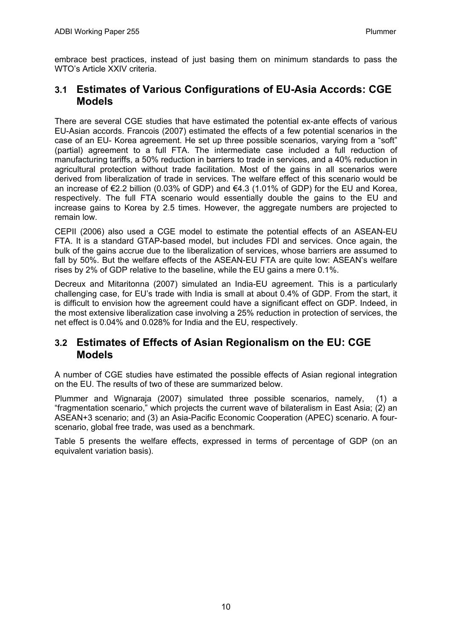<span id="page-13-0"></span>embrace best practices, instead of just basing them on minimum standards to pass the WTO's Article XXIV criteria.

### **3.1 Estimates of Various Configurations of EU-Asia Accords: CGE Models**

There are several CGE studies that have estimated the potential ex-ante effects of various EU-Asian accords. Francois (2007) estimated the effects of a few potential scenarios in the case of an EU- Korea agreement. He set up three possible scenarios, varying from a "soft" (partial) agreement to a full FTA. The intermediate case included a full reduction of manufacturing tariffs, a 50% reduction in barriers to trade in services, and a 40% reduction in agricultural protection without trade facilitation. Most of the gains in all scenarios were derived from liberalization of trade in services. The welfare effect of this scenario would be an increase of €2.2 billion (0.03% of GDP) and €4.3 (1.01% of GDP) for the EU and Korea, respectively. The full FTA scenario would essentially double the gains to the EU and increase gains to Korea by 2.5 times. However, the aggregate numbers are projected to remain low.

CEPII (2006) also used a CGE model to estimate the potential effects of an ASEAN-EU FTA. It is a standard GTAP-based model, but includes FDI and services. Once again, the bulk of the gains accrue due to the liberalization of services, whose barriers are assumed to fall by 50%. But the welfare effects of the ASEAN-EU FTA are quite low: ASEAN's welfare rises by 2% of GDP relative to the baseline, while the EU gains a mere 0.1%.

Decreux and Mitaritonna (2007) simulated an India-EU agreement. This is a particularly challenging case, for EU's trade with India is small at about 0.4% of GDP. From the start, it is difficult to envision how the agreement could have a significant effect on GDP. Indeed, in the most extensive liberalization case involving a 25% reduction in protection of services, the net effect is 0.04% and 0.028% for India and the EU, respectively.

### **3.2 Estimates of Effects of Asian Regionalism on the EU: CGE Models**

A number of CGE studies have estimated the possible effects of Asian regional integration on the EU. The results of two of these are summarized below.

Plummer and Wignaraja (2007) simulated three possible scenarios, namely, (1) a "fragmentation scenario," which projects the current wave of bilateralism in East Asia; (2) an ASEAN+3 scenario; and (3) an Asia-Pacific Economic Cooperation (APEC) scenario. A fourscenario, global free trade, was used as a benchmark.

Table 5 presents the welfare effects, expressed in terms of percentage of GDP (on an equivalent variation basis).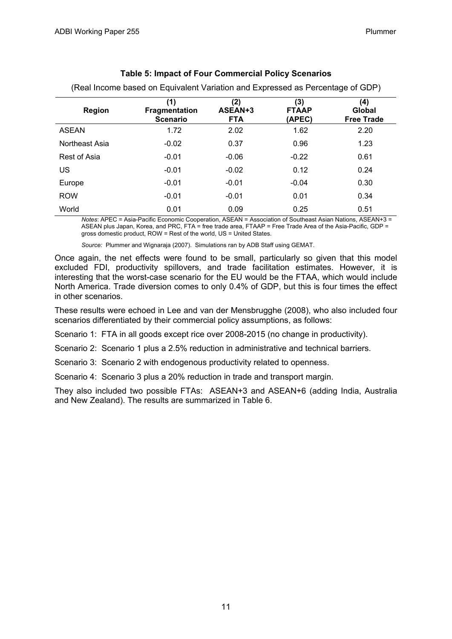| <b>Region</b>  | (1)<br><b>Fragmentation</b><br><b>Scenario</b> | (2)<br>ASEAN+3<br><b>FTA</b> | (3)<br><b>FTAAP</b><br>(APEC) | (4)<br>Global<br><b>Free Trade</b> |
|----------------|------------------------------------------------|------------------------------|-------------------------------|------------------------------------|
| <b>ASEAN</b>   | 1.72                                           | 2.02                         | 1.62                          | 2.20                               |
| Northeast Asia | $-0.02$                                        | 0.37                         | 0.96                          | 1.23                               |
| Rest of Asia   | $-0.01$                                        | $-0.06$                      | $-0.22$                       | 0.61                               |
| <b>US</b>      | $-0.01$                                        | $-0.02$                      | 0.12                          | 0.24                               |
| Europe         | $-0.01$                                        | $-0.01$                      | $-0.04$                       | 0.30                               |
| <b>ROW</b>     | $-0.01$                                        | $-0.01$                      | 0.01                          | 0.34                               |
| World          | 0.01                                           | 0.09                         | 0.25                          | 0.51                               |

### **Table 5: Impact of Four Commercial Policy Scenarios**  (Real Income based on Equivalent Variation and Expressed as Percentage of GDP)

*Notes*: APEC = Asia-Pacific Economic Cooperation, ASEAN = Association of Southeast Asian Nations, ASEAN+3 = ASEAN plus Japan, Korea, and PRC, FTA = free trade area, FTAAP = Free Trade Area of the Asia-Pacific, GDP = gross domestic product, ROW = Rest of the world, US = United States.

*Source:* Plummer and Wignaraja (2007). Simulations ran by ADB Staff using GEMAT.

Once again, the net effects were found to be small, particularly so given that this model excluded FDI, productivity spillovers, and trade facilitation estimates. However, it is interesting that the worst-case scenario for the EU would be the FTAA, which would include North America. Trade diversion comes to only 0.4% of GDP, but this is four times the effect in other scenarios.

These results were echoed in Lee and van der Mensbrugghe (2008), who also included four scenarios differentiated by their commercial policy assumptions, as follows:

Scenario 1: FTA in all goods except rice over 2008-2015 (no change in productivity).

Scenario 2: Scenario 1 plus a 2.5% reduction in administrative and technical barriers.

Scenario 3: Scenario 2 with endogenous productivity related to openness.

Scenario 4: Scenario 3 plus a 20% reduction in trade and transport margin.

They also included two possible FTAs: ASEAN+3 and ASEAN+6 (adding India, Australia and New Zealand). The results are summarized in Table 6.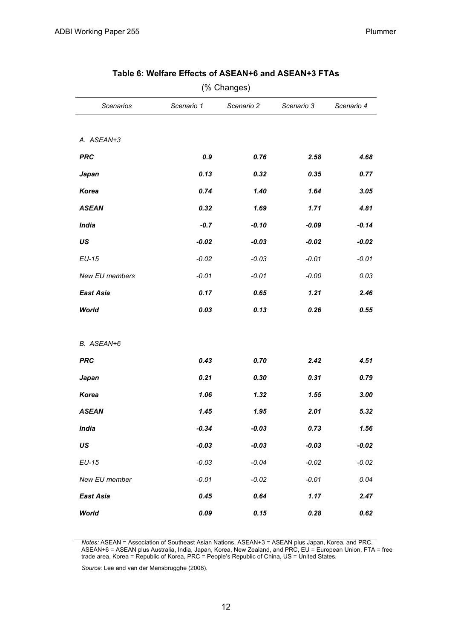| (% Changes)                                                              |         |         |         |         |  |  |  |  |  |  |
|--------------------------------------------------------------------------|---------|---------|---------|---------|--|--|--|--|--|--|
| <b>Scenarios</b><br>Scenario 1<br>Scenario 2<br>Scenario 3<br>Scenario 4 |         |         |         |         |  |  |  |  |  |  |
|                                                                          |         |         |         |         |  |  |  |  |  |  |
| A. ASEAN+3                                                               |         |         |         |         |  |  |  |  |  |  |
| <b>PRC</b>                                                               | 0.9     | 0.76    | 2.58    | 4.68    |  |  |  |  |  |  |
| Japan                                                                    | 0.13    | 0.32    | 0.35    | 0.77    |  |  |  |  |  |  |
| Korea                                                                    | 0.74    | 1.40    | 1.64    | 3.05    |  |  |  |  |  |  |
| <b>ASEAN</b>                                                             | 0.32    | 1.69    | 1.71    | 4.81    |  |  |  |  |  |  |
| <b>India</b>                                                             | $-0.7$  | $-0.10$ | $-0.09$ | $-0.14$ |  |  |  |  |  |  |
| US                                                                       | $-0.02$ | $-0.03$ | $-0.02$ | $-0.02$ |  |  |  |  |  |  |
| EU-15                                                                    | $-0.02$ | $-0.03$ | $-0.01$ | $-0.01$ |  |  |  |  |  |  |
| New EU members                                                           | $-0.01$ | $-0.01$ | $-0.00$ | 0.03    |  |  |  |  |  |  |
| <b>East Asia</b>                                                         | 0.17    | 0.65    | 1.21    | 2.46    |  |  |  |  |  |  |
| World                                                                    | 0.03    | 0.13    | 0.26    | 0.55    |  |  |  |  |  |  |
|                                                                          |         |         |         |         |  |  |  |  |  |  |
| B. ASEAN+6                                                               |         |         |         |         |  |  |  |  |  |  |
| <b>PRC</b>                                                               | 0.43    | 0.70    | 2.42    | 4.51    |  |  |  |  |  |  |
| Japan                                                                    | 0.21    | 0.30    | 0.31    | 0.79    |  |  |  |  |  |  |
| <b>Korea</b>                                                             | 1.06    | 1.32    | 1.55    | 3.00    |  |  |  |  |  |  |
| <b>ASEAN</b>                                                             | 1.45    | 1.95    | 2.01    | 5.32    |  |  |  |  |  |  |
| <b>India</b>                                                             | $-0.34$ | $-0.03$ | 0.73    | 1.56    |  |  |  |  |  |  |
| US                                                                       | $-0.03$ | $-0.03$ | $-0.03$ | $-0.02$ |  |  |  |  |  |  |
| $EU-15$                                                                  | $-0.03$ | $-0.04$ | $-0.02$ | $-0.02$ |  |  |  |  |  |  |
| New EU member                                                            | $-0.01$ | $-0.02$ | $-0.01$ | 0.04    |  |  |  |  |  |  |
| <b>East Asia</b>                                                         | 0.45    | 0.64    | 1.17    | 2.47    |  |  |  |  |  |  |
| <b>World</b>                                                             | 0.09    | 0.15    | 0.28    | 0.62    |  |  |  |  |  |  |

#### **Table 6: Welfare Effects of ASEAN+6 and ASEAN+3 FTAs**

*Notes:* ASEAN = Association of Southeast Asian Nations, ASEAN+3 = ASEAN plus Japan, Korea, and PRC, ASEAN+6 = ASEAN plus Australia, India, Japan, Korea, New Zealand, and PRC, EU = European Union, FTA = free trade area, Korea = Republic of Korea, PRC = People's Republic of China, US = United States.

*Source:* Lee and van der Mensbrugghe (2008).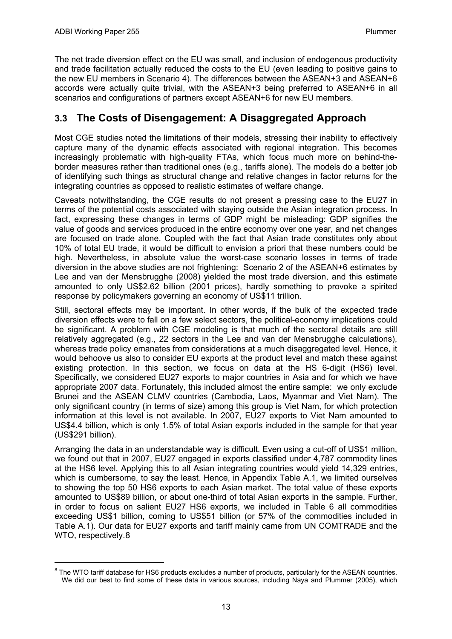$\overline{a}$ 

<span id="page-16-0"></span>The net trade diversion effect on the EU was small, and inclusion of endogenous productivity and trade facilitation actually reduced the costs to the EU (even leading to positive gains to the new EU members in Scenario 4). The differences between the ASEAN+3 and ASEAN+6 accords were actually quite trivial, with the ASEAN+3 being preferred to ASEAN+6 in all scenarios and configurations of partners except ASEAN+6 for new EU members.

## **3.3 The Costs of Disengagement: A Disaggregated Approach**

Most CGE studies noted the limitations of their models, stressing their inability to effectively capture many of the dynamic effects associated with regional integration. This becomes increasingly problematic with high-quality FTAs, which focus much more on behind-theborder measures rather than traditional ones (e.g., tariffs alone). The models do a better job of identifying such things as structural change and relative changes in factor returns for the integrating countries as opposed to realistic estimates of welfare change.

Caveats notwithstanding, the CGE results do not present a pressing case to the EU27 in terms of the potential costs associated with staying outside the Asian integration process. In fact, expressing these changes in terms of GDP might be misleading: GDP signifies the value of goods and services produced in the entire economy over one year, and net changes are focused on trade alone. Coupled with the fact that Asian trade constitutes only about 10% of total EU trade, it would be difficult to envision a priori that these numbers could be high. Nevertheless, in absolute value the worst-case scenario losses in terms of trade diversion in the above studies are not frightening: Scenario 2 of the ASEAN+6 estimates by Lee and van der Mensbrugghe (2008) yielded the most trade diversion, and this estimate amounted to only US\$2.62 billion (2001 prices), hardly something to provoke a spirited response by policymakers governing an economy of US\$11 trillion.

Still, sectoral effects may be important. In other words, if the bulk of the expected trade diversion effects were to fall on a few select sectors, the political-economy implications could be significant. A problem with CGE modeling is that much of the sectoral details are still relatively aggregated (e.g., 22 sectors in the Lee and van der Mensbrugghe calculations), whereas trade policy emanates from considerations at a much disaggregated level. Hence, it would behoove us also to consider EU exports at the product level and match these against existing protection. In this section, we focus on data at the HS 6-digit (HS6) level. Specifically, we considered EU27 exports to major countries in Asia and for which we have appropriate 2007 data. Fortunately, this included almost the entire sample: we only exclude Brunei and the ASEAN CLMV countries (Cambodia, Laos, Myanmar and Viet Nam). The only significant country (in terms of size) among this group is Viet Nam, for which protection information at this level is not available. In 2007, EU27 exports to Viet Nam amounted to US\$4.4 billion, which is only 1.5% of total Asian exports included in the sample for that year (US\$291 billion).

Arranging the data in an understandable way is difficult. Even using a cut-off of US\$1 million, we found out that in 2007, EU27 engaged in exports classified under 4,787 commodity lines at the HS6 level. Applying this to all Asian integrating countries would yield 14,329 entries, which is cumbersome, to say the least. Hence, in Appendix Table A.1, we limited ourselves to showing the top 50 HS6 exports to each Asian market. The total value of these exports amounted to US\$89 billion, or about one-third of total Asian exports in the sample. Further, in order to focus on salient EU27 HS6 exports, we included in Table 6 all commodities exceeding US\$1 billion, coming to US\$51 billion (or 57% of the commodities included in Table A.1). Our data for EU27 exports and tariff mainly came from UN COMTRADE and the WTO, respectively.[8](#page-16-1)

<span id="page-16-1"></span> $8$  The WTO tariff database for HS6 products excludes a number of products, particularly for the ASEAN countries. We did our best to find some of these data in various sources, including Naya and Plummer (2005), which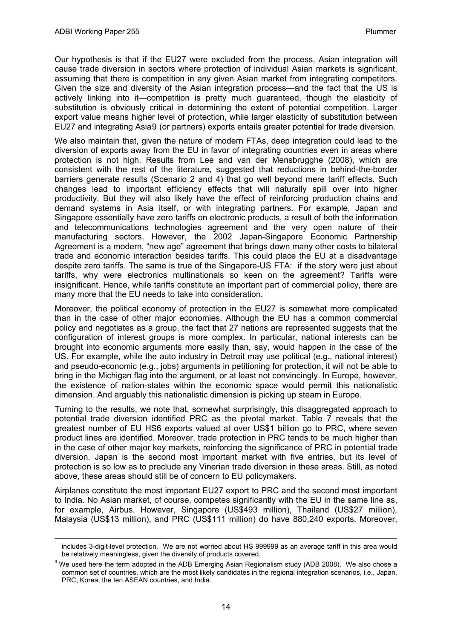-

Our hypothesis is that if the EU27 were excluded from the process, Asian integration will cause trade diversion in sectors where protection of individual Asian markets is significant, assuming that there is competition in any given Asian market from integrating competitors. Given the size and diversity of the Asian integration process—and the fact that the US is actively linking into it—competition is pretty much guaranteed, though the elasticity of substitution is obviously critical in determining the extent of potential competition. Larger export value means higher level of protection, while larger elasticity of substitution between EU27 and integrating Asia[9](#page-17-0) (or partners) exports entails greater potential for trade diversion.

We also maintain that, given the nature of modern FTAs, deep integration could lead to the diversion of exports away from the EU in favor of integrating countries even in areas where protection is not high. Results from Lee and van der Mensbrugghe (2008), which are consistent with the rest of the literature, suggested that reductions in behind-the-border barriers generate results (Scenario 2 and 4) that go well beyond mere tariff effects. Such changes lead to important efficiency effects that will naturally spill over into higher productivity. But they will also likely have the effect of reinforcing production chains and demand systems in Asia itself, or with integrating partners. For example, Japan and Singapore essentially have zero tariffs on electronic products, a result of both the information and telecommunications technologies agreement and the very open nature of their manufacturing sectors. However, the 2002 Japan-Singapore Economic Partnership Agreement is a modern, "new age" agreement that brings down many other costs to bilateral trade and economic interaction besides tariffs. This could place the EU at a disadvantage despite zero tariffs. The same is true of the Singapore-US FTA: if the story were just about tariffs, why were electronics multinationals so keen on the agreement? Tariffs were insignificant. Hence, while tariffs constitute an important part of commercial policy, there are many more that the EU needs to take into consideration.

Moreover, the political economy of protection in the EU27 is somewhat more complicated than in the case of other major economies. Although the EU has a common commercial policy and negotiates as a group, the fact that 27 nations are represented suggests that the configuration of interest groups is more complex. In particular, national interests can be brought into economic arguments more easily than, say, would happen in the case of the US. For example, while the auto industry in Detroit may use political (e.g., national interest) and pseudo-economic (e.g., jobs) arguments in petitioning for protection, it will not be able to bring in the Michigan flag into the argument, or at least not convincingly. In Europe, however, the existence of nation-states within the economic space would permit this nationalistic dimension. And arguably this nationalistic dimension is picking up steam in Europe.

Turning to the results, we note that, somewhat surprisingly, this disaggregated approach to potential trade diversion identified PRC as the pivotal market. Table 7 reveals that the greatest number of EU HS6 exports valued at over US\$1 billion go to PRC, where seven product lines are identified. Moreover, trade protection in PRC tends to be much higher than in the case of other major key markets, reinforcing the significance of PRC in potential trade diversion. Japan is the second most important market with five entries, but its level of protection is so low as to preclude any Vinerian trade diversion in these areas. Still, as noted above, these areas should still be of concern to EU policymakers.

Airplanes constitute the most important EU27 export to PRC and the second most important to India. No Asian market, of course, competes significantly with the EU in the same line as, for example, Airbus. However, Singapore (US\$493 million), Thailand (US\$27 million), Malaysia (US\$13 million), and PRC (US\$111 million) do have 880,240 exports. Moreover,

includes 3-digit-level protection. We are not worried about HS 999999 as an average tariff in this area would be relatively meaningless, given the diversity of products covered.

<span id="page-17-0"></span> $9$  We used here the term adopted in the ADB Emerging Asian Regionalism study (ADB 2008). We also chose a common set of countries, which are the most likely candidates in the regional integration scenarios, i.e., Japan, PRC, Korea, the ten ASEAN countries, and India.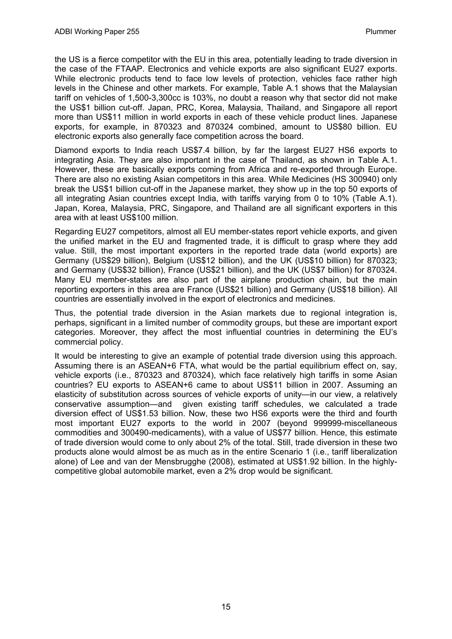the US is a fierce competitor with the EU in this area, potentially leading to trade diversion in the case of the FTAAP. Electronics and vehicle exports are also significant EU27 exports. While electronic products tend to face low levels of protection, vehicles face rather high levels in the Chinese and other markets. For example, Table A.1 shows that the Malaysian tariff on vehicles of 1,500-3,300cc is 103%, no doubt a reason why that sector did not make the US\$1 billion cut-off. Japan, PRC, Korea, Malaysia, Thailand, and Singapore all report more than US\$11 million in world exports in each of these vehicle product lines. Japanese exports, for example, in 870323 and 870324 combined, amount to US\$80 billion. EU electronic exports also generally face competition across the board.

Diamond exports to India reach US\$7.4 billion, by far the largest EU27 HS6 exports to integrating Asia. They are also important in the case of Thailand, as shown in Table A.1. However, these are basically exports coming from Africa and re-exported through Europe. There are also no existing Asian competitors in this area. While Medicines (HS 300940) only break the US\$1 billion cut-off in the Japanese market, they show up in the top 50 exports of all integrating Asian countries except India, with tariffs varying from 0 to 10% (Table A.1). Japan, Korea, Malaysia, PRC, Singapore, and Thailand are all significant exporters in this area with at least US\$100 million.

Regarding EU27 competitors, almost all EU member-states report vehicle exports, and given the unified market in the EU and fragmented trade, it is difficult to grasp where they add value. Still, the most important exporters in the reported trade data (world exports) are Germany (US\$29 billion), Belgium (US\$12 billion), and the UK (US\$10 billion) for 870323; and Germany (US\$32 billion), France (US\$21 billion), and the UK (US\$7 billion) for 870324. Many EU member-states are also part of the airplane production chain, but the main reporting exporters in this area are France (US\$21 billion) and Germany (US\$18 billion). All countries are essentially involved in the export of electronics and medicines.

Thus, the potential trade diversion in the Asian markets due to regional integration is, perhaps, significant in a limited number of commodity groups, but these are important export categories. Moreover, they affect the most influential countries in determining the EU's commercial policy.

It would be interesting to give an example of potential trade diversion using this approach. Assuming there is an ASEAN+6 FTA, what would be the partial equilibrium effect on, say, vehicle exports (i.e., 870323 and 870324), which face relatively high tariffs in some Asian countries? EU exports to ASEAN+6 came to about US\$11 billion in 2007. Assuming an elasticity of substitution across sources of vehicle exports of unity—in our view, a relatively conservative assumption—and given existing tariff schedules, we calculated a trade diversion effect of US\$1.53 billion. Now, these two HS6 exports were the third and fourth most important EU27 exports to the world in 2007 (beyond 999999-miscellaneous commodities and 300490-medicaments), with a value of US\$77 billion. Hence, this estimate of trade diversion would come to only about 2% of the total. Still, trade diversion in these two products alone would almost be as much as in the entire Scenario 1 (i.e., tariff liberalization alone) of Lee and van der Mensbrugghe (2008), estimated at US\$1.92 billion. In the highlycompetitive global automobile market, even a 2% drop would be significant.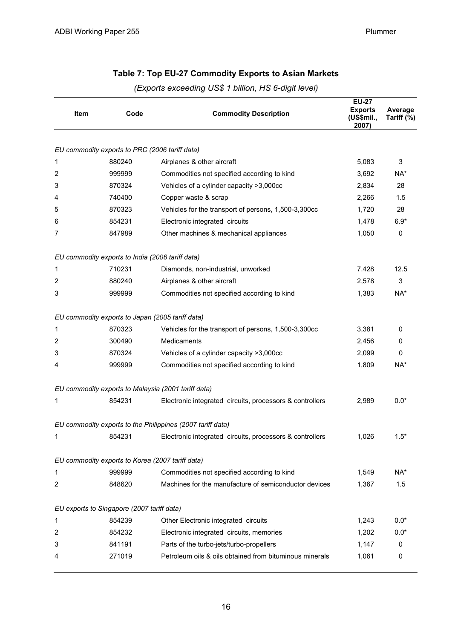|  | (Exports exceeding US\$ 1 billion, HS 6-digit level) |  |  |  |
|--|------------------------------------------------------|--|--|--|
|  |                                                      |  |  |  |

| Item             | Code                                             | <b>Commodity Description</b>                               | <b>EU-27</b><br><b>Exports</b><br>(US\$mil.,<br>2007) | Average<br>Tariff (%) |
|------------------|--------------------------------------------------|------------------------------------------------------------|-------------------------------------------------------|-----------------------|
|                  |                                                  |                                                            |                                                       |                       |
|                  | EU commodity exports to PRC (2006 tariff data)   |                                                            |                                                       |                       |
| 1                | 880240                                           | Airplanes & other aircraft                                 | 5,083                                                 | 3                     |
| 2                | 999999                                           | Commodities not specified according to kind                | 3,692                                                 | NA*                   |
| 3                | 870324                                           | Vehicles of a cylinder capacity >3,000cc                   | 2,834                                                 | 28                    |
| 4                | 740400                                           | Copper waste & scrap                                       | 2,266                                                 | 1.5                   |
| 5                | 870323                                           | Vehicles for the transport of persons, 1,500-3,300cc       | 1,720                                                 | 28                    |
| 6                | 854231                                           | Electronic integrated circuits                             | 1,478                                                 | $6.9*$                |
| 7                | 847989                                           | Other machines & mechanical appliances                     | 1,050                                                 | 0                     |
|                  | EU commodity exports to India (2006 tariff data) |                                                            |                                                       |                       |
| 1                | 710231                                           | Diamonds, non-industrial, unworked                         | 7.428                                                 | 12.5                  |
| 2                | 880240                                           | Airplanes & other aircraft                                 | 2,578                                                 | 3                     |
| 3                | 999999                                           | Commodities not specified according to kind                | 1,383                                                 | NA*                   |
|                  | EU commodity exports to Japan (2005 tariff data) |                                                            |                                                       |                       |
| 1                | 870323                                           | Vehicles for the transport of persons, 1,500-3,300cc       | 3,381                                                 | $\mathbf 0$           |
| 2                | 300490                                           | Medicaments                                                | 2,456                                                 | 0                     |
| 3                | 870324                                           | Vehicles of a cylinder capacity >3,000cc                   | 2,099                                                 | 0                     |
| 4                | 999999                                           | Commodities not specified according to kind                | 1,809                                                 | NA*                   |
|                  |                                                  | EU commodity exports to Malaysia (2001 tariff data)        |                                                       |                       |
| 1                | 854231                                           | Electronic integrated circuits, processors & controllers   | 2,989                                                 | $0.0*$                |
|                  |                                                  | EU commodity exports to the Philippines (2007 tariff data) |                                                       |                       |
| 1                | 854231                                           | Electronic integrated circuits, processors & controllers   | 1,026                                                 | $1.5*$                |
|                  | EU commodity exports to Korea (2007 tariff data) |                                                            |                                                       |                       |
| 1                | 999999                                           | Commodities not specified according to kind                | 1,549                                                 | NA*                   |
| $\boldsymbol{2}$ | 848620                                           | Machines for the manufacture of semiconductor devices      | 1,367                                                 | 1.5                   |
|                  | EU exports to Singapore (2007 tariff data)       |                                                            |                                                       |                       |
| 1                | 854239                                           | Other Electronic integrated circuits                       | 1,243                                                 | $0.0*$                |
| $\boldsymbol{2}$ | 854232                                           | Electronic integrated circuits, memories                   | 1,202                                                 | $0.0*$                |
| 3                | 841191                                           | Parts of the turbo-jets/turbo-propellers                   | 1,147                                                 | 0                     |
| 4                | 271019                                           | Petroleum oils & oils obtained from bituminous minerals    | 1,061                                                 | 0                     |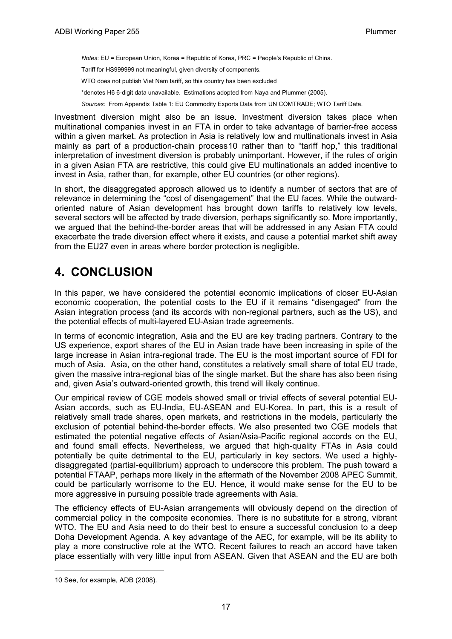<span id="page-20-0"></span>*Notes*: EU = European Union, Korea = Republic of Korea, PRC = People's Republic of China.

Tariff for HS999999 not meaningful, given diversity of components.

WTO does not publish Viet Nam tariff, so this country has been excluded

\*denotes H6 6-digit data unavailable. Estimations adopted from Naya and Plummer (2005).

*Sources:* From Appendix Table 1: EU Commodity Exports Data from UN COMTRADE; WTO Tariff Data.

Investment diversion might also be an issue. Investment diversion takes place when multinational companies invest in an FTA in order to take advantage of barrier-free access within a given market. As protection in Asia is relatively low and multinationals invest in Asia mainly as part of a production-chain process[10](#page-20-1) rather than to "tariff hop," this traditional interpretation of investment diversion is probably unimportant. However, if the rules of origin in a given Asian FTA are restrictive, this could give EU multinationals an added incentive to invest in Asia, rather than, for example, other EU countries (or other regions).

In short, the disaggregated approach allowed us to identify a number of sectors that are of relevance in determining the "cost of disengagement" that the EU faces. While the outwardoriented nature of Asian development has brought down tariffs to relatively low levels, several sectors will be affected by trade diversion, perhaps significantly so. More importantly, we argued that the behind-the-border areas that will be addressed in any Asian FTA could exacerbate the trade diversion effect where it exists, and cause a potential market shift away from the EU27 even in areas where border protection is negligible.

## **4. CONCLUSION**

In this paper, we have considered the potential economic implications of closer EU-Asian economic cooperation, the potential costs to the EU if it remains "disengaged" from the Asian integration process (and its accords with non-regional partners, such as the US), and the potential effects of multi-layered EU-Asian trade agreements.

In terms of economic integration, Asia and the EU are key trading partners. Contrary to the US experience, export shares of the EU in Asian trade have been increasing in spite of the large increase in Asian intra-regional trade. The EU is the most important source of FDI for much of Asia. Asia, on the other hand, constitutes a relatively small share of total EU trade, given the massive intra-regional bias of the single market. But the share has also been rising and, given Asia's outward-oriented growth, this trend will likely continue.

Our empirical review of CGE models showed small or trivial effects of several potential EU-Asian accords, such as EU-India, EU-ASEAN and EU-Korea. In part, this is a result of relatively small trade shares, open markets, and restrictions in the models, particularly the exclusion of potential behind-the-border effects. We also presented two CGE models that estimated the potential negative effects of Asian/Asia-Pacific regional accords on the EU, and found small effects. Nevertheless, we argued that high-quality FTAs in Asia could potentially be quite detrimental to the EU, particularly in key sectors. We used a highlydisaggregated (partial-equilibrium) approach to underscore this problem. The push toward a potential FTAAP, perhaps more likely in the aftermath of the November 2008 APEC Summit, could be particularly worrisome to the EU. Hence, it would make sense for the EU to be more aggressive in pursuing possible trade agreements with Asia.

The efficiency effects of EU-Asian arrangements will obviously depend on the direction of commercial policy in the composite economies. There is no substitute for a strong, vibrant WTO. The EU and Asia need to do their best to ensure a successful conclusion to a deep Doha Development Agenda. A key advantage of the AEC, for example, will be its ability to play a more constructive role at the WTO. Recent failures to reach an accord have taken place essentially with very little input from ASEAN. Given that ASEAN and the EU are both

1

<span id="page-20-1"></span><sup>10</sup> See, for example, ADB (2008).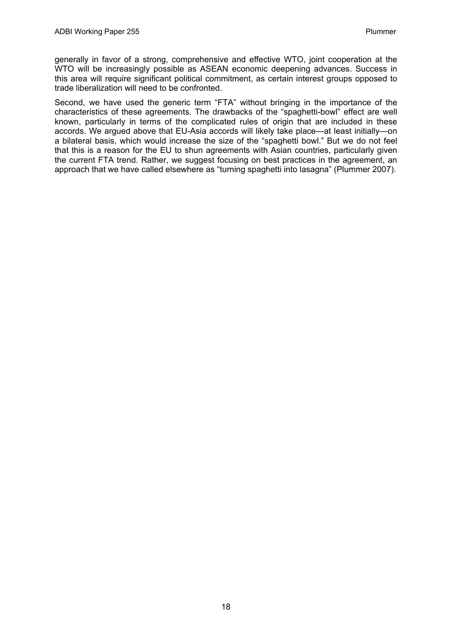generally in favor of a strong, comprehensive and effective WTO, joint cooperation at the WTO will be increasingly possible as ASEAN economic deepening advances. Success in this area will require significant political commitment, as certain interest groups opposed to trade liberalization will need to be confronted.

Second, we have used the generic term "FTA" without bringing in the importance of the characteristics of these agreements. The drawbacks of the "spaghetti-bowl" effect are well known, particularly in terms of the complicated rules of origin that are included in these accords. We argued above that EU-Asia accords will likely take place—at least initially—on a bilateral basis, which would increase the size of the "spaghetti bowl." But we do not feel that this is a reason for the EU to shun agreements with Asian countries, particularly given the current FTA trend. Rather, we suggest focusing on best practices in the agreement, an approach that we have called elsewhere as "turning spaghetti into lasagna" (Plummer 2007).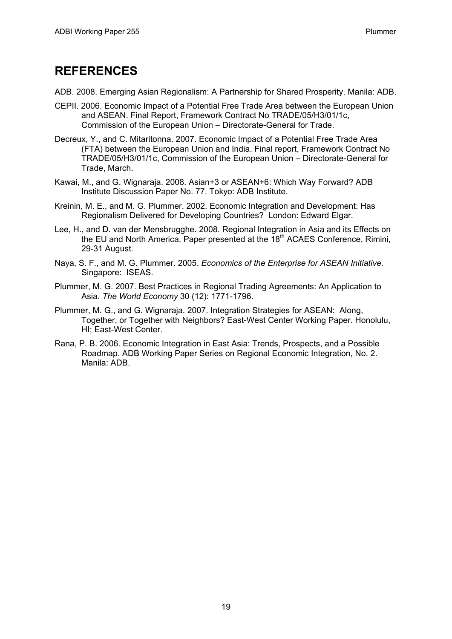## <span id="page-22-0"></span>**REFERENCES**

- ADB. 2008. Emerging Asian Regionalism: A Partnership for Shared Prosperity. Manila: ADB.
- CEPII. 2006. Economic Impact of a Potential Free Trade Area between the European Union and ASEAN. Final Report, Framework Contract No TRADE/05/H3/01/1c, Commission of the European Union – Directorate-General for Trade.
- Decreux, Y., and C. Mitaritonna. 2007. Economic Impact of a Potential Free Trade Area (FTA) between the European Union and India. Final report, Framework Contract No TRADE/05/H3/01/1c, Commission of the European Union – Directorate-General for Trade, March.
- Kawai, M., and G. Wignaraja. 2008. Asian+3 or ASEAN+6: Which Way Forward? ADB Institute Discussion Paper No. 77. Tokyo: ADB Institute.
- Kreinin, M. E., and M. G. Plummer. 2002. Economic Integration and Development: Has Regionalism Delivered for Developing Countries? London: Edward Elgar.
- Lee, H., and D. van der Mensbrugghe. 2008. Regional Integration in Asia and its Effects on the EU and North America. Paper presented at the 18<sup>th</sup> ACAES Conference, Rimini, 29-31 August.
- Naya, S. F., and M. G. Plummer. 2005. *Economics of the Enterprise for ASEAN Initiative*. Singapore: ISEAS.
- Plummer, M. G. 2007. Best Practices in Regional Trading Agreements: An Application to Asia. *The World Economy* 30 (12): 1771-1796.
- Plummer, M. G., and G. Wignaraja. 2007. Integration Strategies for ASEAN: Along, Together, or Together with Neighbors? East-West Center Working Paper. Honolulu, HI; East-West Center.
- Rana, P. B. 2006. Economic Integration in East Asia: Trends, Prospects, and a Possible Roadmap. ADB Working Paper Series on Regional Economic Integration, No. 2. Manila: ADB.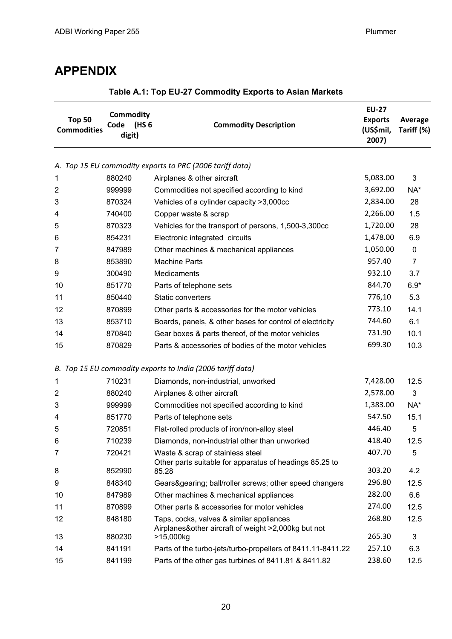## <span id="page-23-0"></span>**APPENDIX**

| <b>Top 50</b><br><b>Commodities</b> | <b>Commodity</b><br>(HS 6<br>Code<br>digit) | <b>Commodity Description</b>                                                                | <b>EU-27</b><br><b>Exports</b><br>(US\$mil,<br>2007) | Average<br>Tariff (%) |
|-------------------------------------|---------------------------------------------|---------------------------------------------------------------------------------------------|------------------------------------------------------|-----------------------|
|                                     |                                             |                                                                                             |                                                      |                       |
|                                     | 880240                                      | A. Top 15 EU commodity exports to PRC (2006 tariff data)                                    | 5,083.00                                             | 3                     |
| 1<br>2                              | 999999                                      | Airplanes & other aircraft                                                                  | 3,692.00                                             |                       |
| 3                                   | 870324                                      | Commodities not specified according to kind                                                 | 2,834.00                                             | NA*<br>28             |
|                                     | 740400                                      | Vehicles of a cylinder capacity >3,000cc                                                    | 2,266.00                                             | 1.5                   |
| 4                                   | 870323                                      | Copper waste & scrap                                                                        | 1,720.00                                             | 28                    |
| 5                                   |                                             | Vehicles for the transport of persons, 1,500-3,300cc                                        | 1,478.00                                             |                       |
| 6<br>7                              | 854231<br>847989                            | Electronic integrated circuits<br>Other machines & mechanical appliances                    | 1,050.00                                             | 6.9<br>0              |
|                                     |                                             |                                                                                             | 957.40                                               | $\overline{7}$        |
| 8                                   | 853890<br>300490                            | <b>Machine Parts</b><br>Medicaments                                                         | 932.10                                               | 3.7                   |
| 9                                   |                                             |                                                                                             | 844.70                                               |                       |
| 10                                  | 851770                                      | Parts of telephone sets                                                                     | 776,10                                               | $6.9*$<br>5.3         |
| 11                                  | 850440                                      | Static converters                                                                           | 773.10                                               |                       |
| 12                                  | 870899                                      | Other parts & accessories for the motor vehicles                                            | 744.60                                               | 14.1                  |
| 13                                  | 853710                                      | Boards, panels, & other bases for control of electricity                                    | 731.90                                               | 6.1                   |
| 14                                  | 870840                                      | Gear boxes & parts thereof, of the motor vehicles                                           |                                                      | 10.1                  |
| 15                                  | 870829                                      | Parts & accessories of bodies of the motor vehicles                                         | 699.30                                               | 10.3                  |
|                                     |                                             | B. Top 15 EU commodity exports to India (2006 tariff data)                                  |                                                      |                       |
| 1                                   | 710231                                      | Diamonds, non-industrial, unworked                                                          | 7,428.00                                             | 12.5                  |
| $\overline{2}$                      | 880240                                      | Airplanes & other aircraft                                                                  | 2,578.00                                             | 3                     |
| 3                                   | 999999                                      | Commodities not specified according to kind                                                 | 1,383.00                                             | NA*                   |
| 4                                   | 851770                                      | Parts of telephone sets                                                                     | 547.50                                               | 15.1                  |
| 5                                   | 720851                                      | Flat-rolled products of iron/non-alloy steel                                                | 446.40                                               | 5                     |
| 6                                   | 710239                                      | Diamonds, non-industrial other than unworked                                                | 418.40                                               | 12.5                  |
| 7                                   | 720421                                      | Waste & scrap of stainless steel<br>Other parts suitable for apparatus of headings 85.25 to | 407.70                                               | 5                     |
| 8                                   | 852990                                      | 85.28                                                                                       | 303.20                                               | 4.2                   |
| 9                                   | 848340                                      | Gears&gearing ball/roller screws; other speed changers                                      | 296.80                                               | 12.5                  |
| 10                                  | 847989                                      | Other machines & mechanical appliances                                                      | 282.00                                               | 6.6                   |
| 11                                  | 870899                                      | Other parts & accessories for motor vehicles                                                | 274.00                                               | 12.5                  |
| 12                                  | 848180                                      | Taps, cocks, valves & similar appliances                                                    | 268.80                                               | 12.5                  |
| 13                                  | 880230                                      | Airplanes&other aircraft of weight >2,000kg but not<br>>15,000kg                            | 265.30                                               | 3                     |
| 14                                  | 841191                                      | Parts of the turbo-jets/turbo-propellers of 8411.11-8411.22                                 | 257.10                                               | 6.3                   |
| 15                                  | 841199                                      | Parts of the other gas turbines of 8411.81 & 8411.82                                        | 238.60                                               | 12.5                  |

## **Table A.1: Top EU-27 Commodity Exports to Asian Markets**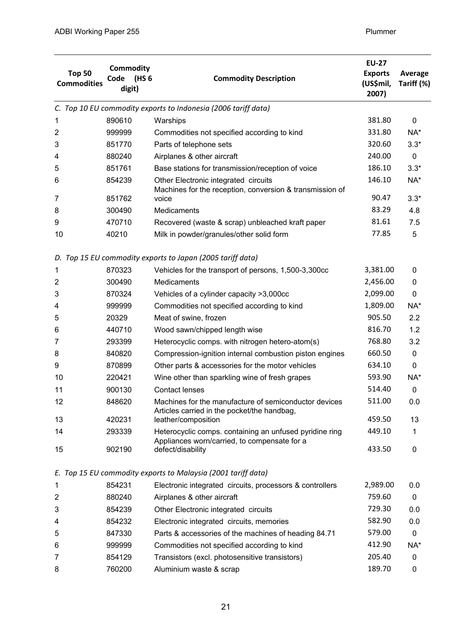| <b>Top 50</b><br><b>Commodities</b> | <b>Commodity</b><br>(HS 6<br>Code<br>digit)                | <b>Commodity Description</b>                                                                            | <b>EU-27</b><br><b>Exports</b><br>(US\$mil,<br>2007) | Average<br>Tariff (%) |  |  |
|-------------------------------------|------------------------------------------------------------|---------------------------------------------------------------------------------------------------------|------------------------------------------------------|-----------------------|--|--|
|                                     |                                                            | C. Top 10 EU commodity exports to Indonesia (2006 tariff data)                                          |                                                      |                       |  |  |
| 1                                   | 890610                                                     | Warships                                                                                                | 381.80                                               | 0                     |  |  |
| 2                                   | 999999                                                     | Commodities not specified according to kind                                                             | 331.80                                               | NA*                   |  |  |
| 3                                   | 851770                                                     | Parts of telephone sets                                                                                 | 320.60                                               | $3.3*$                |  |  |
| 4                                   | 880240                                                     | Airplanes & other aircraft                                                                              | 240.00                                               | 0                     |  |  |
| 5                                   | 851761                                                     | Base stations for transmission/reception of voice                                                       | 186.10                                               | $3.3*$                |  |  |
| 6                                   | 854239                                                     | Other Electronic integrated circuits                                                                    | 146.10                                               | NA*                   |  |  |
|                                     |                                                            | Machines for the reception, conversion & transmission of                                                | 90.47                                                |                       |  |  |
| 7                                   | 851762                                                     | voice                                                                                                   |                                                      | $3.3*$                |  |  |
| 8                                   | 300490                                                     | <b>Medicaments</b>                                                                                      | 83.29<br>81.61                                       | 4.8                   |  |  |
| 9                                   | 470710                                                     | Recovered (waste & scrap) unbleached kraft paper                                                        |                                                      | 7.5                   |  |  |
| 10                                  | 40210                                                      | Milk in powder/granules/other solid form                                                                | 77.85                                                | 5                     |  |  |
|                                     | D. Top 15 EU commodity exports to Japan (2005 tariff data) |                                                                                                         |                                                      |                       |  |  |
| 1                                   | 870323                                                     | Vehicles for the transport of persons, 1,500-3,300cc                                                    | 3,381.00                                             | $\mathbf{0}$          |  |  |
| $\overline{2}$                      | 300490                                                     | Medicaments                                                                                             | 2,456.00                                             | 0                     |  |  |
| 3                                   | 870324                                                     | Vehicles of a cylinder capacity >3,000cc                                                                | 2,099.00                                             | $\mathbf 0$           |  |  |
| 4                                   | 999999                                                     | Commodities not specified according to kind                                                             | 1,809.00                                             | NA*                   |  |  |
| 5                                   | 20329                                                      | Meat of swine, frozen                                                                                   | 905.50                                               | 2.2                   |  |  |
| 6                                   | 440710                                                     | Wood sawn/chipped length wise                                                                           | 816.70                                               | 1.2                   |  |  |
| 7                                   | 293399                                                     | Heterocyclic comps. with nitrogen hetero-atom(s)                                                        | 768.80                                               | 3.2                   |  |  |
| 8                                   | 840820                                                     | Compression-ignition internal combustion piston engines                                                 | 660.50                                               | 0                     |  |  |
| 9                                   | 870899                                                     | Other parts & accessories for the motor vehicles                                                        | 634.10                                               | $\mathbf 0$           |  |  |
| 10                                  | 220421                                                     | Wine other than sparkling wine of fresh grapes                                                          | 593.90                                               | NA*                   |  |  |
| 11                                  | 900130                                                     | <b>Contact lenses</b>                                                                                   | 514.40                                               | 0                     |  |  |
| 12                                  | 848620                                                     | Machines for the manufacture of semiconductor devices<br>Articles carried in the pocket/the handbag,    | 511.00                                               | 0.0                   |  |  |
| 13                                  | 420231                                                     | leather/composition                                                                                     | 459.50                                               | 13                    |  |  |
| 14                                  | 293339                                                     | Heterocyclic comps. containing an unfused pyridine ring<br>Appliances worn/carried, to compensate for a | 449.10                                               | 1                     |  |  |
| 15                                  | 902190                                                     | defect/disability                                                                                       | 433.50                                               | $\mathbf 0$           |  |  |
|                                     |                                                            | E. Top 15 EU commodity exports to Malaysia (2001 tariff data)                                           |                                                      |                       |  |  |
| 1                                   | 854231                                                     | Electronic integrated circuits, processors & controllers                                                | 2,989.00                                             | 0.0                   |  |  |
| 2                                   | 880240                                                     | Airplanes & other aircraft                                                                              | 759.60                                               | 0                     |  |  |
| 3                                   | 854239                                                     | Other Electronic integrated circuits                                                                    | 729.30                                               | 0.0                   |  |  |
| 4                                   | 854232                                                     | Electronic integrated circuits, memories                                                                | 582.90                                               | 0.0                   |  |  |
| 5                                   | 847330                                                     | Parts & accessories of the machines of heading 84.71                                                    | 579.00                                               | 0                     |  |  |
| 6                                   | 999999                                                     | Commodities not specified according to kind                                                             | 412.90                                               | NA*                   |  |  |
| 7                                   | 854129                                                     | Transistors (excl. photosensitive transistors)                                                          | 205.40                                               | 0                     |  |  |
| 8                                   | 760200                                                     | Aluminium waste & scrap                                                                                 | 189.70                                               | 0                     |  |  |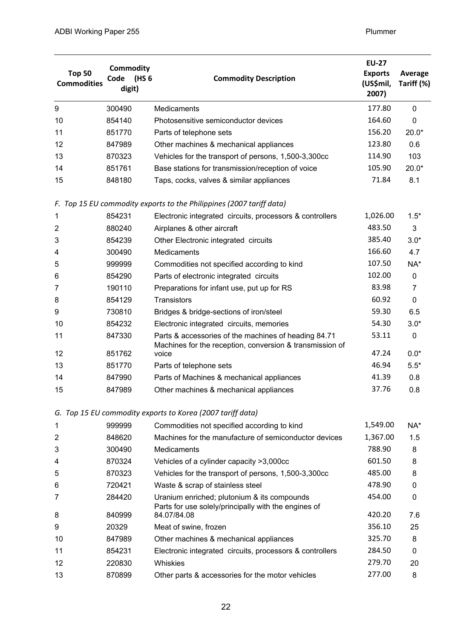| <b>Top 50</b><br><b>Commodities</b> | <b>Commodity</b><br>(HS 6<br>Code<br>digit) | <b>Commodity Description</b>                                                                                     | <b>EU-27</b><br><b>Exports</b><br>(US\$mil,<br>2007) | Average<br>Tariff (%) |
|-------------------------------------|---------------------------------------------|------------------------------------------------------------------------------------------------------------------|------------------------------------------------------|-----------------------|
| 9                                   | 300490                                      | Medicaments                                                                                                      | 177.80                                               | $\mathbf 0$           |
| 10                                  | 854140                                      | Photosensitive semiconductor devices                                                                             | 164.60                                               | 0                     |
| 11                                  | 851770                                      | Parts of telephone sets                                                                                          | 156.20                                               | $20.0*$               |
| 12                                  | 847989                                      | Other machines & mechanical appliances                                                                           | 123.80                                               | 0.6                   |
| 13                                  | 870323                                      | Vehicles for the transport of persons, 1,500-3,300cc                                                             | 114.90                                               | 103                   |
| 14                                  | 851761                                      | Base stations for transmission/reception of voice                                                                | 105.90                                               | $20.0*$               |
| 15                                  | 848180                                      | Taps, cocks, valves & similar appliances                                                                         | 71.84                                                | 8.1                   |
|                                     |                                             | F. Top 15 EU commodity exports to the Philippines (2007 tariff data)                                             |                                                      |                       |
| 1                                   | 854231                                      | Electronic integrated circuits, processors & controllers                                                         | 1,026.00                                             | $1.5*$                |
| $\overline{2}$                      | 880240                                      | Airplanes & other aircraft                                                                                       | 483.50                                               | 3                     |
| 3                                   | 854239                                      | Other Electronic integrated circuits                                                                             | 385.40                                               | $3.0*$                |
| 4                                   | 300490                                      | Medicaments                                                                                                      | 166.60                                               | 4.7                   |
| 5                                   | 999999                                      | Commodities not specified according to kind                                                                      | 107.50                                               | NA*                   |
| 6                                   | 854290                                      | Parts of electronic integrated circuits                                                                          | 102.00                                               | 0                     |
| 7                                   | 190110                                      | Preparations for infant use, put up for RS                                                                       | 83.98                                                | $\overline{7}$        |
| 8                                   | 854129                                      | Transistors                                                                                                      | 60.92                                                | 0                     |
| 9                                   | 730810                                      | Bridges & bridge-sections of iron/steel                                                                          | 59.30                                                | 6.5                   |
| 10                                  | 854232                                      | Electronic integrated circuits, memories                                                                         | 54.30                                                | $3.0*$                |
| 11                                  | 847330                                      | Parts & accessories of the machines of heading 84.71<br>Machines for the reception, conversion & transmission of | 53.11                                                | 0                     |
| 12                                  | 851762                                      | voice                                                                                                            | 47.24                                                | $0.0*$                |
| 13                                  | 851770                                      | Parts of telephone sets                                                                                          | 46.94                                                | $5.5*$                |
| 14                                  | 847990                                      | Parts of Machines & mechanical appliances                                                                        | 41.39                                                | 0.8                   |
| 15                                  | 847989                                      | Other machines & mechanical appliances                                                                           | 37.76                                                | 0.8                   |
|                                     |                                             | G. Top 15 EU commodity exports to Korea (2007 tariff data)                                                       |                                                      |                       |
| 1                                   | 999999                                      | Commodities not specified according to kind                                                                      | 1,549.00                                             | NA*                   |
| 2                                   | 848620                                      | Machines for the manufacture of semiconductor devices                                                            | 1,367.00                                             | 1.5                   |
| 3                                   | 300490                                      | Medicaments                                                                                                      | 788.90                                               | 8                     |
| 4                                   | 870324                                      | Vehicles of a cylinder capacity >3,000cc                                                                         | 601.50                                               | 8                     |
| 5                                   | 870323                                      | Vehicles for the transport of persons, 1,500-3,300cc                                                             | 485.00                                               | 8                     |
| 6                                   | 720421                                      | Waste & scrap of stainless steel                                                                                 | 478.90                                               | 0                     |
| 7                                   | 284420                                      | Uranium enriched; plutonium & its compounds<br>Parts for use solely/principally with the engines of              | 454.00                                               | 0                     |
| 8                                   | 840999                                      | 84.07/84.08                                                                                                      | 420.20                                               | 7.6                   |
| 9                                   | 20329                                       | Meat of swine, frozen                                                                                            | 356.10                                               | 25                    |
| 10                                  | 847989                                      | Other machines & mechanical appliances                                                                           | 325.70                                               | 8                     |
| 11                                  | 854231                                      | Electronic integrated circuits, processors & controllers                                                         | 284.50                                               | 0                     |
| 12                                  | 220830                                      | <b>Whiskies</b>                                                                                                  | 279.70                                               | 20                    |
| 13                                  | 870899                                      | Other parts & accessories for the motor vehicles                                                                 | 277.00                                               | 8                     |